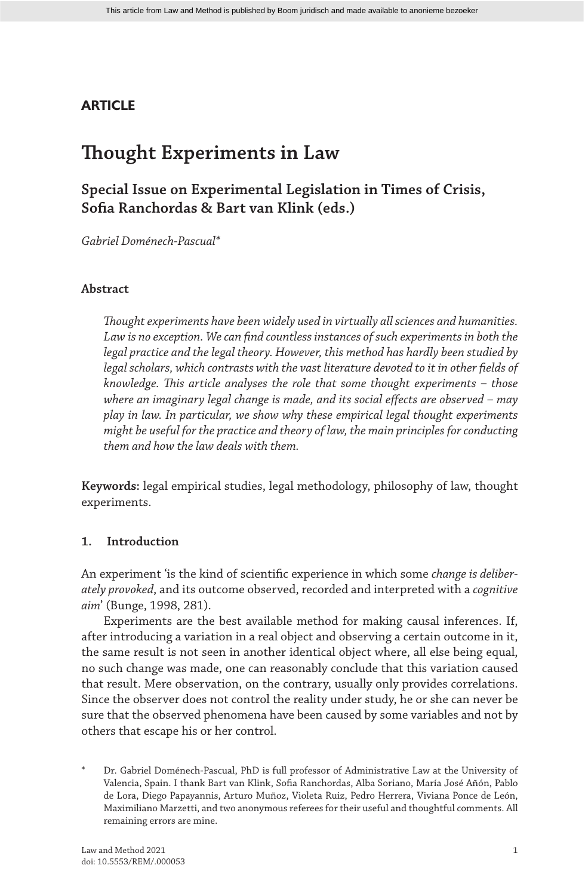### **ARTICLE**

# **Thought Experiments in Law**

## **Special Issue on Experimental Legislation in Times of Crisis, Sofia Ranchordas & Bart van Klink (eds.)**

*Gabriel Doménech-Pascual\**

#### **Abstract**

*Thought experiments have been widely used in virtually all sciences and humanities. Law is no exception. We can find countless instances of such experiments in both the legal practice and the legal theory. However, this method has hardly been studied by legal scholars, which contrasts with the vast literature devoted to it in other fields of knowledge. This article analyses the role that some thought experiments – those where an imaginary legal change is made, and its social effects are observed – may play in law. In particular, we show why these empirical legal thought experiments might be useful for the practice and theory of law, the main principles for conducting them and how the law deals with them.*

**Keywords:** legal empirical studies, legal methodology, philosophy of law, thought experiments.

#### **1. Introduction**

An experiment 'is the kind of scientific experience in which some *change is deliberately provoked*, and its outcome observed, recorded and interpreted with a *cognitive aim*' (Bunge, 1998, 281).

Experiments are the best available method for making causal inferences. If, after introducing a variation in a real object and observing a certain outcome in it, the same result is not seen in another identical object where, all else being equal, no such change was made, one can reasonably conclude that this variation caused that result. Mere observation, on the contrary, usually only provides correlations. Since the observer does not control the reality under study, he or she can never be sure that the observed phenomena have been caused by some variables and not by others that escape his or her control.

Dr. Gabriel Doménech-Pascual, PhD is full professor of Administrative Law at the University of Valencia, Spain. I thank Bart van Klink, Sofia Ranchordas, Alba Soriano, María José Añón, Pablo de Lora, Diego Papayannis, Arturo Muñoz, Violeta Ruiz, Pedro Herrera, Viviana Ponce de León, Maximiliano Marzetti, and two anonymous referees for their useful and thoughtful comments. All remaining errors are mine.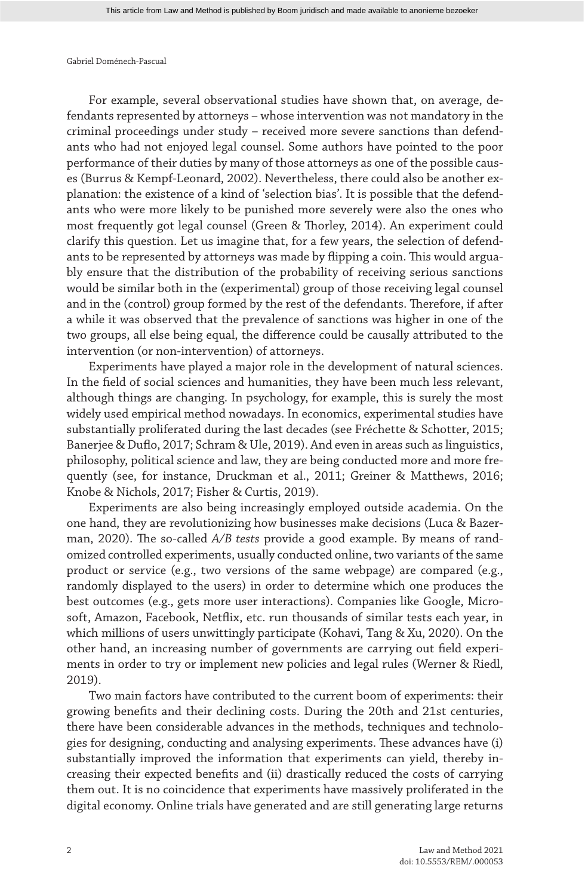For example, several observational studies have shown that, on average, defendants represented by attorneys – whose intervention was not mandatory in the criminal proceedings under study – received more severe sanctions than defendants who had not enjoyed legal counsel. Some authors have pointed to the poor performance of their duties by many of those attorneys as one of the possible causes (Burrus & Kempf-Leonard, 2002). Nevertheless, there could also be another explanation: the existence of a kind of 'selection bias'. It is possible that the defendants who were more likely to be punished more severely were also the ones who most frequently got legal counsel (Green & Thorley, 2014). An experiment could clarify this question. Let us imagine that, for a few years, the selection of defendants to be represented by attorneys was made by flipping a coin. This would arguably ensure that the distribution of the probability of receiving serious sanctions would be similar both in the (experimental) group of those receiving legal counsel and in the (control) group formed by the rest of the defendants. Therefore, if after a while it was observed that the prevalence of sanctions was higher in one of the two groups, all else being equal, the difference could be causally attributed to the intervention (or non-intervention) of attorneys.

Experiments have played a major role in the development of natural sciences. In the field of social sciences and humanities, they have been much less relevant, although things are changing. In psychology, for example, this is surely the most widely used empirical method nowadays. In economics, experimental studies have substantially proliferated during the last decades (see Fréchette & Schotter, 2015; Banerjee & Duflo, 2017; Schram & Ule, 2019). And even in areas such as linguistics, philosophy, political science and law, they are being conducted more and more frequently (see, for instance, Druckman et al., 2011; Greiner & Matthews, 2016; Knobe & Nichols, 2017; Fisher & Curtis, 2019).

Experiments are also being increasingly employed outside academia. On the one hand, they are revolutionizing how businesses make decisions (Luca & Bazerman, 2020). The so-called *A/B tests* provide a good example. By means of randomized controlled experiments, usually conducted online, two variants of the same product or service (e.g., two versions of the same webpage) are compared (e.g., randomly displayed to the users) in order to determine which one produces the best outcomes (e.g., gets more user interactions). Companies like Google, Microsoft, Amazon, Facebook, Netflix, etc. run thousands of similar tests each year, in which millions of users unwittingly participate (Kohavi, Tang & Xu, 2020). On the other hand, an increasing number of governments are carrying out field experiments in order to try or implement new policies and legal rules (Werner & Riedl, 2019).

Two main factors have contributed to the current boom of experiments: their growing benefits and their declining costs. During the 20th and 21st centuries, there have been considerable advances in the methods, techniques and technologies for designing, conducting and analysing experiments. These advances have (i) substantially improved the information that experiments can yield, thereby increasing their expected benefits and (ii) drastically reduced the costs of carrying them out. It is no coincidence that experiments have massively proliferated in the digital economy. Online trials have generated and are still generating large returns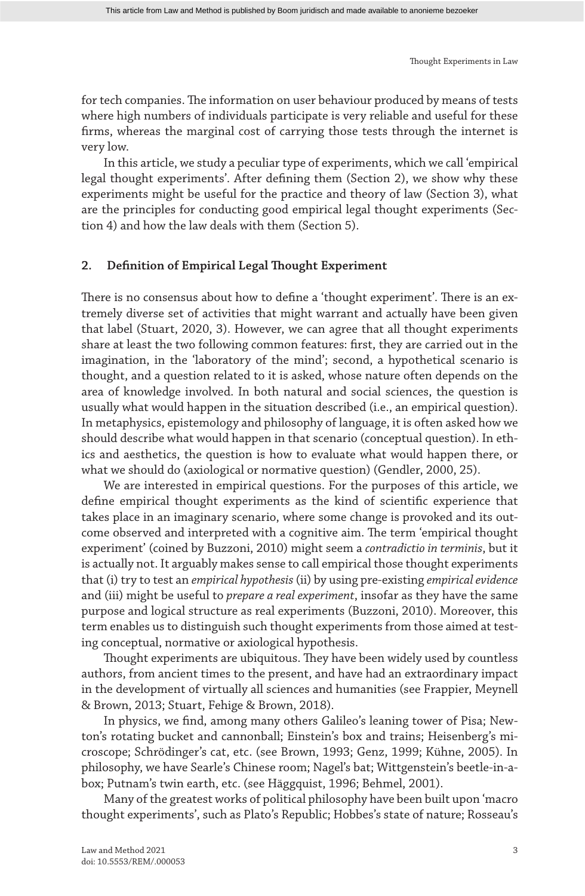for tech companies. The information on user behaviour produced by means of tests where high numbers of individuals participate is very reliable and useful for these firms, whereas the marginal cost of carrying those tests through the internet is very low.

In this article, we study a peculiar type of experiments, which we call 'empirical legal thought experiments'. After defining them (Section 2), we show why these experiments might be useful for the practice and theory of law (Section 3), what are the principles for conducting good empirical legal thought experiments (Section 4) and how the law deals with them (Section 5).

#### **2. Definition of Empirical Legal Thought Experiment**

There is no consensus about how to define a 'thought experiment'. There is an extremely diverse set of activities that might warrant and actually have been given that label (Stuart, 2020, 3). However, we can agree that all thought experiments share at least the two following common features: first, they are carried out in the imagination, in the 'laboratory of the mind'; second, a hypothetical scenario is thought, and a question related to it is asked, whose nature often depends on the area of knowledge involved. In both natural and social sciences, the question is usually what would happen in the situation described (i.e., an empirical question). In metaphysics, epistemology and philosophy of language, it is often asked how we should describe what would happen in that scenario (conceptual question). In ethics and aesthetics, the question is how to evaluate what would happen there, or what we should do (axiological or normative question) (Gendler, 2000, 25).

We are interested in empirical questions. For the purposes of this article, we define empirical thought experiments as the kind of scientific experience that takes place in an imaginary scenario, where some change is provoked and its outcome observed and interpreted with a cognitive aim. The term 'empirical thought experiment' (coined by Buzzoni, 2010) might seem a *contradictio in terminis*, but it is actually not. It arguably makes sense to call empirical those thought experiments that (i) try to test an *empirical hypothesis* (ii) by using pre-existing *empirical evidence* and (iii) might be useful to *prepare a real experiment*, insofar as they have the same purpose and logical structure as real experiments (Buzzoni, 2010). Moreover, this term enables us to distinguish such thought experiments from those aimed at testing conceptual, normative or axiological hypothesis.

Thought experiments are ubiquitous. They have been widely used by countless authors, from ancient times to the present, and have had an extraordinary impact in the development of virtually all sciences and humanities (see Frappier, Meynell & Brown, 2013; Stuart, Fehige & Brown, 2018).

In physics, we find, among many others Galileo's leaning tower of Pisa; Newton's rotating bucket and cannonball; Einstein's box and trains; Heisenberg's microscope; Schrödinger's cat, etc. (see Brown, 1993; Genz, 1999; Kühne, 2005). In philosophy, we have Searle's Chinese room; Nagel's bat; Wittgenstein's beetle-in-abox; Putnam's twin earth, etc. (see Häggquist, 1996; Behmel, 2001).

Many of the greatest works of political philosophy have been built upon 'macro thought experiments', such as Plato's Republic; Hobbes's state of nature; Rosseau's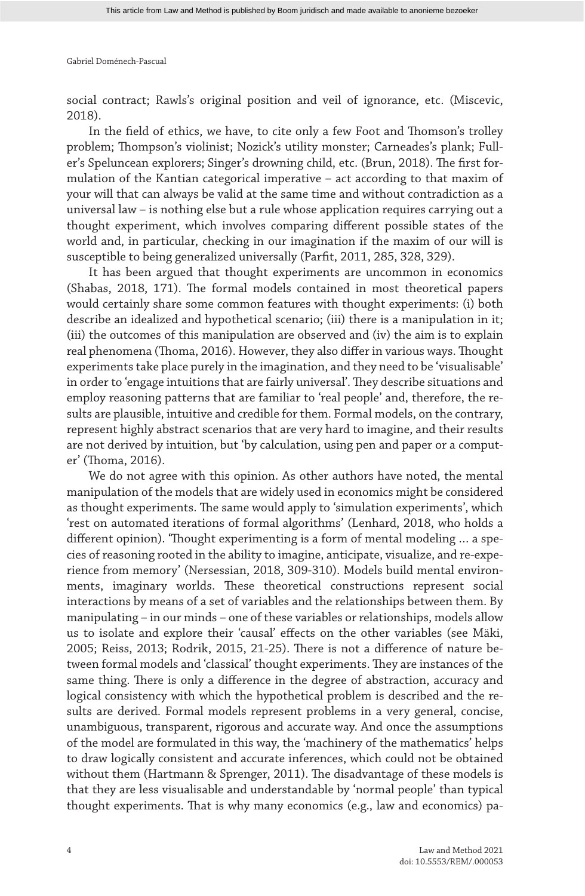social contract; Rawls's original position and veil of ignorance, etc. (Miscevic, 2018).

In the field of ethics, we have, to cite only a few Foot and Thomson's trolley problem; Thompson's violinist; Nozick's utility monster; Carneades's plank; Fuller's Speluncean explorers; Singer's drowning child, etc. (Brun, 2018). The first formulation of the Kantian categorical imperative – act according to that maxim of your will that can always be valid at the same time and without contradiction as a universal law – is nothing else but a rule whose application requires carrying out a thought experiment, which involves comparing different possible states of the world and, in particular, checking in our imagination if the maxim of our will is susceptible to being generalized universally (Parfit, 2011, 285, 328, 329).

It has been argued that thought experiments are uncommon in economics (Shabas, 2018, 171). The formal models contained in most theoretical papers would certainly share some common features with thought experiments: (i) both describe an idealized and hypothetical scenario; (iii) there is a manipulation in it; (iii) the outcomes of this manipulation are observed and (iv) the aim is to explain real phenomena (Thoma, 2016). However, they also differ in various ways. Thought experiments take place purely in the imagination, and they need to be 'visualisable' in order to 'engage intuitions that are fairly universal'. They describe situations and employ reasoning patterns that are familiar to 'real people' and, therefore, the results are plausible, intuitive and credible for them. Formal models, on the contrary, represent highly abstract scenarios that are very hard to imagine, and their results are not derived by intuition, but 'by calculation, using pen and paper or a computer' (Thoma, 2016).

We do not agree with this opinion. As other authors have noted, the mental manipulation of the models that are widely used in economics might be considered as thought experiments. The same would apply to 'simulation experiments', which 'rest on automated iterations of formal algorithms' (Lenhard, 2018, who holds a different opinion). 'Thought experimenting is a form of mental modeling … a species of reasoning rooted in the ability to imagine, anticipate, visualize, and re-experience from memory' (Nersessian, 2018, 309-310). Models build mental environments, imaginary worlds. These theoretical constructions represent social interactions by means of a set of variables and the relationships between them. By manipulating – in our minds – one of these variables or relationships, models allow us to isolate and explore their 'causal' effects on the other variables (see Mäki, 2005; Reiss, 2013; Rodrik, 2015, 21-25). There is not a difference of nature between formal models and 'classical' thought experiments. They are instances of the same thing. There is only a difference in the degree of abstraction, accuracy and logical consistency with which the hypothetical problem is described and the results are derived. Formal models represent problems in a very general, concise, unambiguous, transparent, rigorous and accurate way. And once the assumptions of the model are formulated in this way, the 'machinery of the mathematics' helps to draw logically consistent and accurate inferences, which could not be obtained without them (Hartmann & Sprenger, 2011). The disadvantage of these models is that they are less visualisable and understandable by 'normal people' than typical thought experiments. That is why many economics (e.g., law and economics) pa-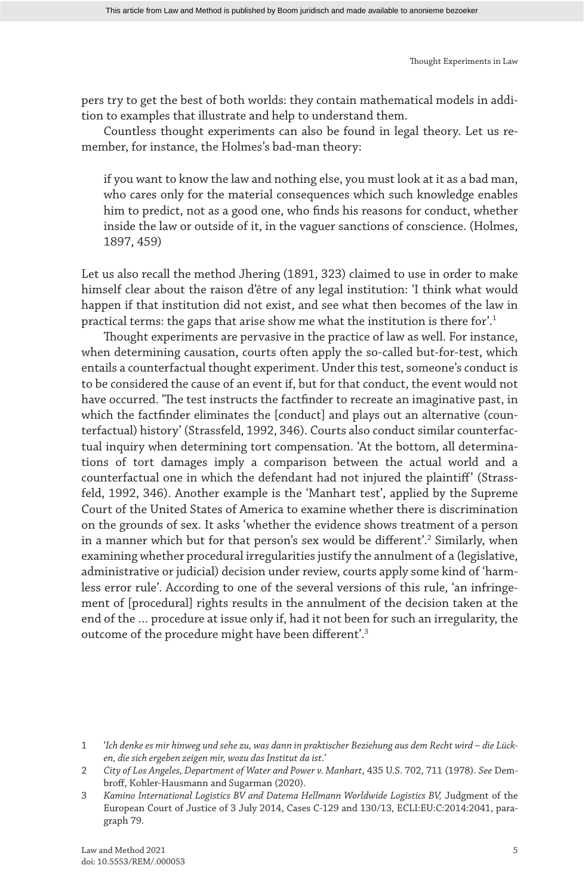pers try to get the best of both worlds: they contain mathematical models in addition to examples that illustrate and help to understand them.

Countless thought experiments can also be found in legal theory. Let us remember, for instance, the Holmes's bad-man theory:

if you want to know the law and nothing else, you must look at it as a bad man, who cares only for the material consequences which such knowledge enables him to predict, not as a good one, who finds his reasons for conduct, whether inside the law or outside of it, in the vaguer sanctions of conscience. (Holmes, 1897, 459)

Let us also recall the method Jhering (1891, 323) claimed to use in order to make himself clear about the raison d'être of any legal institution: 'I think what would happen if that institution did not exist, and see what then becomes of the law in practical terms: the gaps that arise show me what the institution is there for'.1

Thought experiments are pervasive in the practice of law as well. For instance, when determining causation, courts often apply the so-called but-for-test, which entails a counterfactual thought experiment. Under this test, someone's conduct is to be considered the cause of an event if, but for that conduct, the event would not have occurred. 'The test instructs the factfinder to recreate an imaginative past, in which the factfinder eliminates the [conduct] and plays out an alternative (counterfactual) history' (Strassfeld, 1992, 346). Courts also conduct similar counterfactual inquiry when determining tort compensation. 'At the bottom, all determinations of tort damages imply a comparison between the actual world and a counterfactual one in which the defendant had not injured the plaintiff' (Strassfeld, 1992, 346). Another example is the 'Manhart test', applied by the Supreme Court of the United States of America to examine whether there is discrimination on the grounds of sex. It asks 'whether the evidence shows treatment of a person in a manner which but for that person's sex would be different'.2 Similarly, when examining whether procedural irregularities justify the annulment of a (legislative, administrative or judicial) decision under review, courts apply some kind of 'harmless error rule'. According to one of the several versions of this rule, 'an infringement of [procedural] rights results in the annulment of the decision taken at the end of the … procedure at issue only if, had it not been for such an irregularity, the outcome of the procedure might have been different'.3

<sup>1</sup> '*Ich denke es mir hinweg und sehe zu, was dann in praktischer Beziehung aus dem Recht wird – die Lücken, die sich ergeben zeigen mir, wozu das Institut da ist.'*

<sup>2</sup> *City of Los Angeles, Department of Water and Power v. Manhart*, 435 U.S. 702, 711 (1978). *See* Dembroff, Kohler-Hausmann and Sugarman (2020).

<sup>3</sup> *Kamino International Logistics BV and Datema Hellmann Worldwide Logistics BV,* Judgment of the European Court of Justice of 3 July 2014, Cases C-129 and 130/13, ECLI:EU:C:2014:2041, paragraph 79.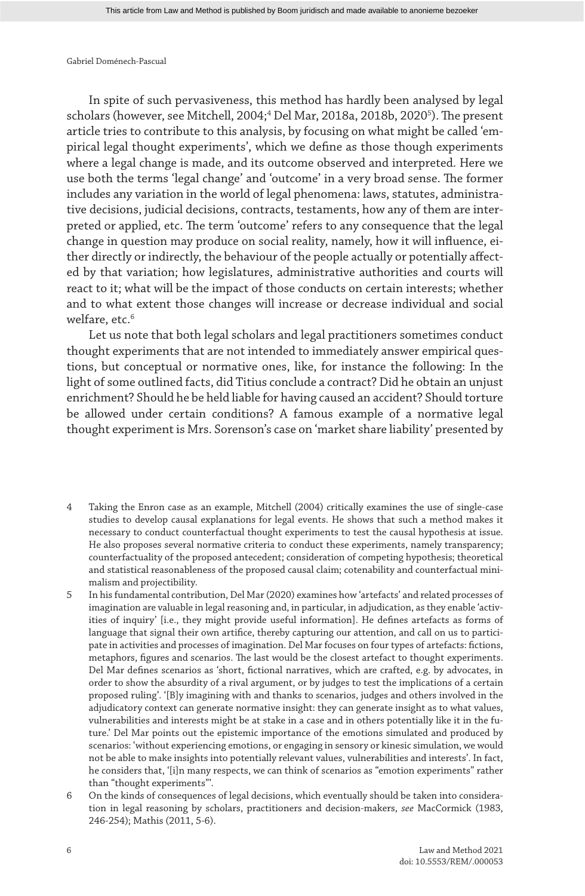In spite of such pervasiveness, this method has hardly been analysed by legal scholars (however, see Mitchell, 2004;<sup>4</sup> Del Mar, 2018a, 2018b, 2020<sup>5</sup>). The present article tries to contribute to this analysis, by focusing on what might be called 'empirical legal thought experiments', which we define as those though experiments where a legal change is made, and its outcome observed and interpreted. Here we use both the terms 'legal change' and 'outcome' in a very broad sense. The former includes any variation in the world of legal phenomena: laws, statutes, administrative decisions, judicial decisions, contracts, testaments, how any of them are interpreted or applied, etc. The term 'outcome' refers to any consequence that the legal change in question may produce on social reality, namely, how it will influence, either directly or indirectly, the behaviour of the people actually or potentially affected by that variation; how legislatures, administrative authorities and courts will react to it; what will be the impact of those conducts on certain interests; whether and to what extent those changes will increase or decrease individual and social welfare, etc.<sup>6</sup>

Let us note that both legal scholars and legal practitioners sometimes conduct thought experiments that are not intended to immediately answer empirical questions, but conceptual or normative ones, like, for instance the following: In the light of some outlined facts, did Titius conclude a contract? Did he obtain an unjust enrichment? Should he be held liable for having caused an accident? Should torture be allowed under certain conditions? A famous example of a normative legal thought experiment is Mrs. Sorenson's case on 'market share liability' presented by

- 4 Taking the Enron case as an example, Mitchell (2004) critically examines the use of single-case studies to develop causal explanations for legal events. He shows that such a method makes it necessary to conduct counterfactual thought experiments to test the causal hypothesis at issue. He also proposes several normative criteria to conduct these experiments, namely transparency; counterfactuality of the proposed antecedent; consideration of competing hypothesis; theoretical and statistical reasonableness of the proposed causal claim; cotenability and counterfactual minimalism and projectibility.
- 5 In his fundamental contribution, Del Mar (2020) examines how 'artefacts' and related processes of imagination are valuable in legal reasoning and, in particular, in adjudication, as they enable 'activities of inquiry' [i.e., they might provide useful information]. He defines artefacts as forms of language that signal their own artifice, thereby capturing our attention, and call on us to participate in activities and processes of imagination. Del Mar focuses on four types of artefacts: fictions, metaphors, figures and scenarios. The last would be the closest artefact to thought experiments. Del Mar defines scenarios as 'short, fictional narratives, which are crafted, e.g. by advocates, in order to show the absurdity of a rival argument, or by judges to test the implications of a certain proposed ruling'. '[B]y imagining with and thanks to scenarios, judges and others involved in the adjudicatory context can generate normative insight: they can generate insight as to what values, vulnerabilities and interests might be at stake in a case and in others potentially like it in the future.' Del Mar points out the epistemic importance of the emotions simulated and produced by scenarios: 'without experiencing emotions, or engaging in sensory or kinesic simulation, we would not be able to make insights into potentially relevant values, vulnerabilities and interests'. In fact, he considers that, '[i]n many respects, we can think of scenarios as "emotion experiments" rather than "thought experiments"'.
- 6 On the kinds of consequences of legal decisions, which eventually should be taken into consideration in legal reasoning by scholars, practitioners and decision-makers, *see* MacCormick (1983, 246-254); Mathis (2011, 5-6).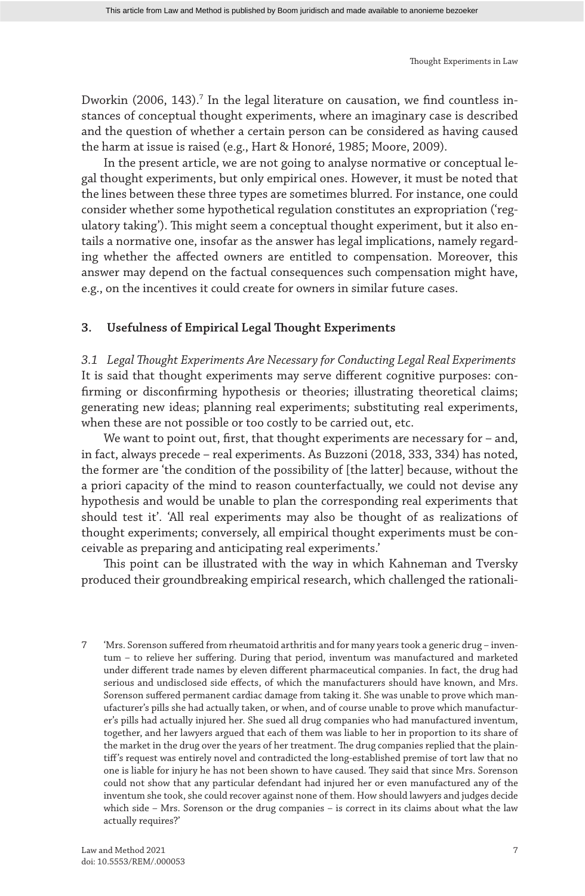Dworkin (2006, 143).<sup>7</sup> In the legal literature on causation, we find countless instances of conceptual thought experiments, where an imaginary case is described and the question of whether a certain person can be considered as having caused the harm at issue is raised (e.g., Hart & Honoré, 1985; Moore, 2009).

In the present article, we are not going to analyse normative or conceptual legal thought experiments, but only empirical ones. However, it must be noted that the lines between these three types are sometimes blurred. For instance, one could consider whether some hypothetical regulation constitutes an expropriation ('regulatory taking'). This might seem a conceptual thought experiment, but it also entails a normative one, insofar as the answer has legal implications, namely regarding whether the affected owners are entitled to compensation. Moreover, this answer may depend on the factual consequences such compensation might have, e.g., on the incentives it could create for owners in similar future cases.

#### **3. Usefulness of Empirical Legal Thought Experiments**

*3.1 Legal Thought Experiments Are Necessary for Conducting Legal Real Experiments* It is said that thought experiments may serve different cognitive purposes: confirming or disconfirming hypothesis or theories; illustrating theoretical claims; generating new ideas; planning real experiments; substituting real experiments, when these are not possible or too costly to be carried out, etc.

We want to point out, first, that thought experiments are necessary for – and, in fact, always precede – real experiments. As Buzzoni (2018, 333, 334) has noted, the former are 'the condition of the possibility of [the latter] because, without the a priori capacity of the mind to reason counterfactually, we could not devise any hypothesis and would be unable to plan the corresponding real experiments that should test it'. 'All real experiments may also be thought of as realizations of thought experiments; conversely, all empirical thought experiments must be conceivable as preparing and anticipating real experiments.'

This point can be illustrated with the way in which Kahneman and Tversky produced their groundbreaking empirical research, which challenged the rationali-

7 'Mrs. Sorenson suffered from rheumatoid arthritis and for many years took a generic drug – inventum – to relieve her suffering. During that period, inventum was manufactured and marketed under different trade names by eleven different pharmaceutical companies. In fact, the drug had serious and undisclosed side effects, of which the manufacturers should have known, and Mrs. Sorenson suffered permanent cardiac damage from taking it. She was unable to prove which manufacturer's pills she had actually taken, or when, and of course unable to prove which manufacturer's pills had actually injured her. She sued all drug companies who had manufactured inventum, together, and her lawyers argued that each of them was liable to her in proportion to its share of the market in the drug over the years of her treatment. The drug companies replied that the plaintiff's request was entirely novel and contradicted the long-established premise of tort law that no one is liable for injury he has not been shown to have caused. They said that since Mrs. Sorenson could not show that any particular defendant had injured her or even manufactured any of the inventum she took, she could recover against none of them. How should lawyers and judges decide which side – Mrs. Sorenson or the drug companies – is correct in its claims about what the law actually requires?'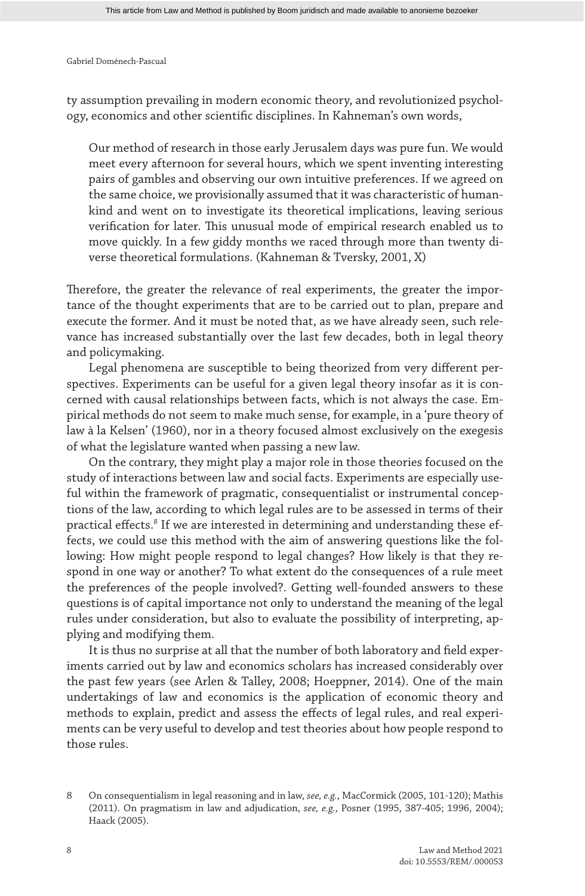ty assumption prevailing in modern economic theory, and revolutionized psychology, economics and other scientific disciplines. In Kahneman's own words,

Our method of research in those early Jerusalem days was pure fun. We would meet every afternoon for several hours, which we spent inventing interesting pairs of gambles and observing our own intuitive preferences. If we agreed on the same choice, we provisionally assumed that it was characteristic of humankind and went on to investigate its theoretical implications, leaving serious verification for later. This unusual mode of empirical research enabled us to move quickly. In a few giddy months we raced through more than twenty diverse theoretical formulations. (Kahneman & Tversky, 2001, X)

Therefore, the greater the relevance of real experiments, the greater the importance of the thought experiments that are to be carried out to plan, prepare and execute the former. And it must be noted that, as we have already seen, such relevance has increased substantially over the last few decades, both in legal theory and policymaking.

Legal phenomena are susceptible to being theorized from very different perspectives. Experiments can be useful for a given legal theory insofar as it is concerned with causal relationships between facts, which is not always the case. Empirical methods do not seem to make much sense, for example, in a 'pure theory of law à la Kelsen' (1960), nor in a theory focused almost exclusively on the exegesis of what the legislature wanted when passing a new law.

On the contrary, they might play a major role in those theories focused on the study of interactions between law and social facts. Experiments are especially useful within the framework of pragmatic, consequentialist or instrumental conceptions of the law, according to which legal rules are to be assessed in terms of their practical effects.<sup>8</sup> If we are interested in determining and understanding these effects, we could use this method with the aim of answering questions like the following: How might people respond to legal changes? How likely is that they respond in one way or another? To what extent do the consequences of a rule meet the preferences of the people involved?. Getting well-founded answers to these questions is of capital importance not only to understand the meaning of the legal rules under consideration, but also to evaluate the possibility of interpreting, applying and modifying them.

It is thus no surprise at all that the number of both laboratory and field experiments carried out by law and economics scholars has increased considerably over the past few years (see Arlen & Talley, 2008; Hoeppner, 2014). One of the main undertakings of law and economics is the application of economic theory and methods to explain, predict and assess the effects of legal rules, and real experiments can be very useful to develop and test theories about how people respond to those rules.

<sup>8</sup> On consequentialism in legal reasoning and in law, *see, e.g.*, MacCormick (2005, 101-120); Mathis (2011). On pragmatism in law and adjudication, *see, e.g.*, Posner (1995, 387-405; 1996, 2004); Haack (2005).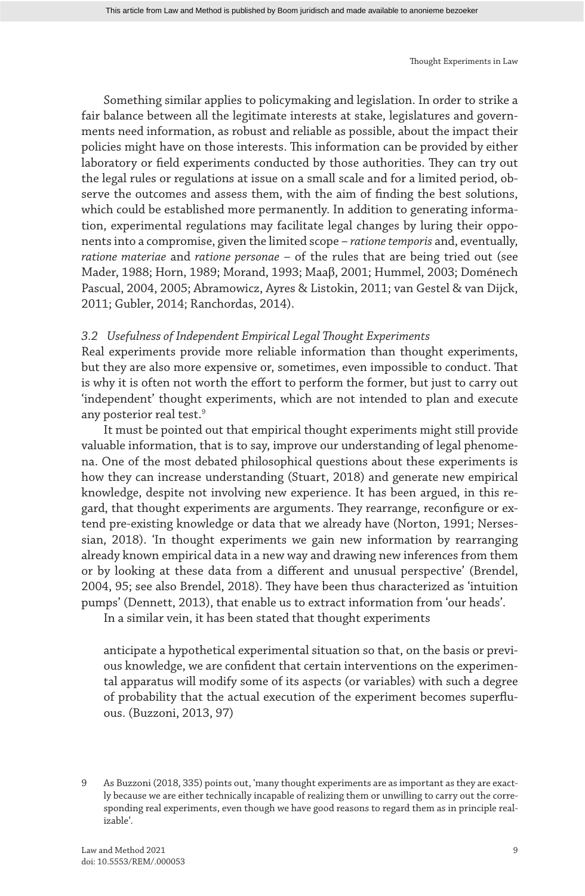Something similar applies to policymaking and legislation. In order to strike a fair balance between all the legitimate interests at stake, legislatures and governments need information, as robust and reliable as possible, about the impact their policies might have on those interests. This information can be provided by either laboratory or field experiments conducted by those authorities. They can try out the legal rules or regulations at issue on a small scale and for a limited period, observe the outcomes and assess them, with the aim of finding the best solutions, which could be established more permanently. In addition to generating information, experimental regulations may facilitate legal changes by luring their opponents into a compromise, given the limited scope – *ratione temporis* and, eventually, *ratione materiae* and *ratione personae* – of the rules that are being tried out (see Mader, 1988; Horn, 1989; Morand, 1993; Maaβ, 2001; Hummel, 2003; Doménech Pascual, 2004, 2005; Abramowicz, Ayres & Listokin, 2011; van Gestel & van Dijck, 2011; Gubler, 2014; Ranchordas, 2014).

#### *3.2 Usefulness of Independent Empirical Legal Thought Experiments*

Real experiments provide more reliable information than thought experiments, but they are also more expensive or, sometimes, even impossible to conduct. That is why it is often not worth the effort to perform the former, but just to carry out 'independent' thought experiments, which are not intended to plan and execute any posterior real test.<sup>9</sup>

It must be pointed out that empirical thought experiments might still provide valuable information, that is to say, improve our understanding of legal phenomena. One of the most debated philosophical questions about these experiments is how they can increase understanding (Stuart, 2018) and generate new empirical knowledge, despite not involving new experience. It has been argued, in this regard, that thought experiments are arguments. They rearrange, reconfigure or extend pre-existing knowledge or data that we already have (Norton, 1991; Nersessian, 2018). 'In thought experiments we gain new information by rearranging already known empirical data in a new way and drawing new inferences from them or by looking at these data from a different and unusual perspective' (Brendel, 2004, 95; see also Brendel, 2018). They have been thus characterized as 'intuition pumps' (Dennett, 2013), that enable us to extract information from 'our heads'.

In a similar vein, it has been stated that thought experiments

anticipate a hypothetical experimental situation so that, on the basis or previous knowledge, we are confident that certain interventions on the experimental apparatus will modify some of its aspects (or variables) with such a degree of probability that the actual execution of the experiment becomes superfluous. (Buzzoni, 2013, 97)

9 As Buzzoni (2018, 335) points out, 'many thought experiments are as important as they are exactly because we are either technically incapable of realizing them or unwilling to carry out the corresponding real experiments, even though we have good reasons to regard them as in principle realizable'.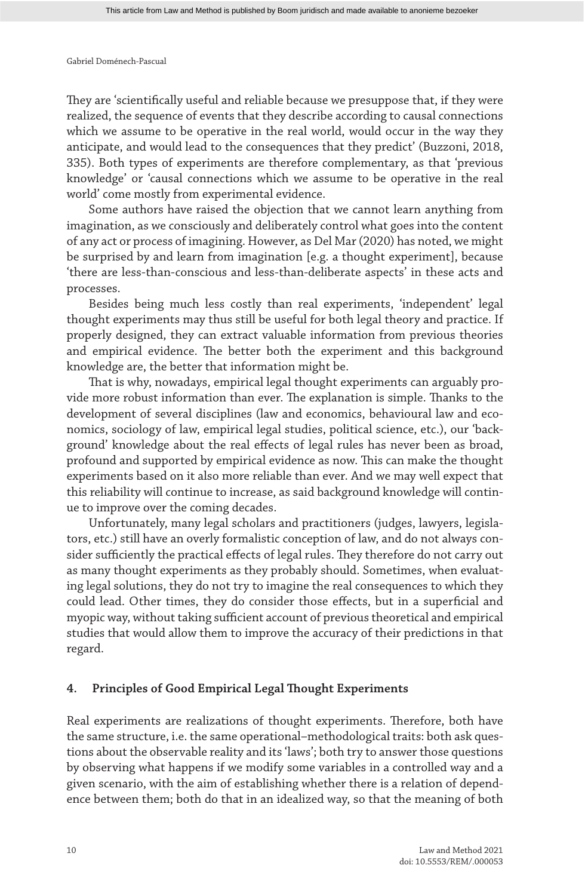They are 'scientifically useful and reliable because we presuppose that, if they were realized, the sequence of events that they describe according to causal connections which we assume to be operative in the real world, would occur in the way they anticipate, and would lead to the consequences that they predict' (Buzzoni, 2018, 335). Both types of experiments are therefore complementary, as that 'previous knowledge' or 'causal connections which we assume to be operative in the real world' come mostly from experimental evidence.

Some authors have raised the objection that we cannot learn anything from imagination, as we consciously and deliberately control what goes into the content of any act or process of imagining. However, as Del Mar (2020) has noted, we might be surprised by and learn from imagination [e.g. a thought experiment], because 'there are less-than-conscious and less-than-deliberate aspects' in these acts and processes.

Besides being much less costly than real experiments, 'independent' legal thought experiments may thus still be useful for both legal theory and practice. If properly designed, they can extract valuable information from previous theories and empirical evidence. The better both the experiment and this background knowledge are, the better that information might be.

That is why, nowadays, empirical legal thought experiments can arguably provide more robust information than ever. The explanation is simple. Thanks to the development of several disciplines (law and economics, behavioural law and economics, sociology of law, empirical legal studies, political science, etc.), our 'background' knowledge about the real effects of legal rules has never been as broad, profound and supported by empirical evidence as now. This can make the thought experiments based on it also more reliable than ever. And we may well expect that this reliability will continue to increase, as said background knowledge will continue to improve over the coming decades.

Unfortunately, many legal scholars and practitioners (judges, lawyers, legislators, etc.) still have an overly formalistic conception of law, and do not always consider sufficiently the practical effects of legal rules. They therefore do not carry out as many thought experiments as they probably should. Sometimes, when evaluating legal solutions, they do not try to imagine the real consequences to which they could lead. Other times, they do consider those effects, but in a superficial and myopic way, without taking sufficient account of previous theoretical and empirical studies that would allow them to improve the accuracy of their predictions in that regard.

#### **4. Principles of Good Empirical Legal Thought Experiments**

Real experiments are realizations of thought experiments. Therefore, both have the same structure, i.e. the same operational–methodological traits: both ask questions about the observable reality and its 'laws'; both try to answer those questions by observing what happens if we modify some variables in a controlled way and a given scenario, with the aim of establishing whether there is a relation of dependence between them; both do that in an idealized way, so that the meaning of both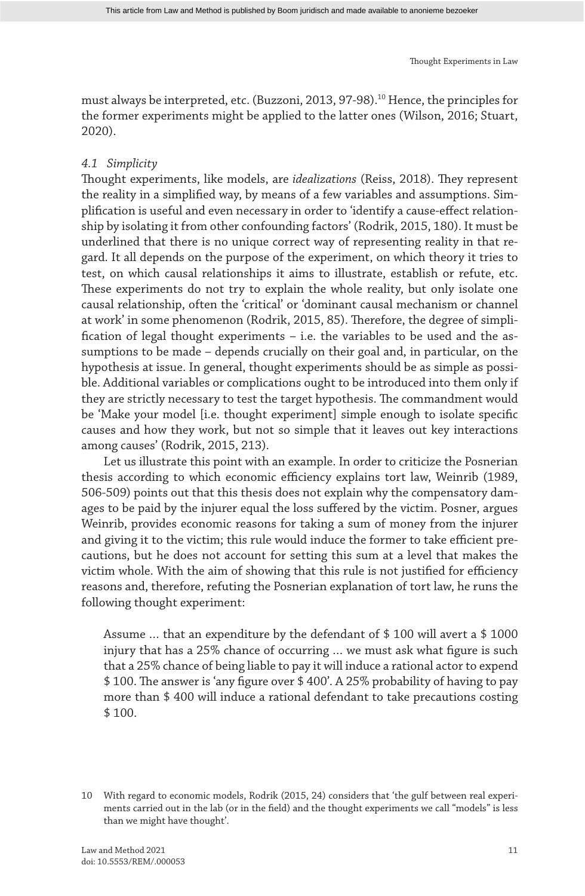must always be interpreted, etc. (Buzzoni, 2013, 97-98).10 Hence, the principles for the former experiments might be applied to the latter ones (Wilson, 2016; Stuart, 2020).

#### *4.1 Simplicity*

Thought experiments, like models, are *idealizations* (Reiss, 2018). They represent the reality in a simplified way, by means of a few variables and assumptions. Simplification is useful and even necessary in order to 'identify a cause-effect relationship by isolating it from other confounding factors' (Rodrik, 2015, 180). It must be underlined that there is no unique correct way of representing reality in that regard. It all depends on the purpose of the experiment, on which theory it tries to test, on which causal relationships it aims to illustrate, establish or refute, etc. These experiments do not try to explain the whole reality, but only isolate one causal relationship, often the 'critical' or 'dominant causal mechanism or channel at work' in some phenomenon (Rodrik, 2015, 85). Therefore, the degree of simplification of legal thought experiments – i.e. the variables to be used and the assumptions to be made – depends crucially on their goal and, in particular, on the hypothesis at issue. In general, thought experiments should be as simple as possible. Additional variables or complications ought to be introduced into them only if they are strictly necessary to test the target hypothesis. The commandment would be 'Make your model [i.e. thought experiment] simple enough to isolate specific causes and how they work, but not so simple that it leaves out key interactions among causes' (Rodrik, 2015, 213).

Let us illustrate this point with an example. In order to criticize the Posnerian thesis according to which economic efficiency explains tort law, Weinrib (1989, 506-509) points out that this thesis does not explain why the compensatory damages to be paid by the injurer equal the loss suffered by the victim. Posner, argues Weinrib, provides economic reasons for taking a sum of money from the injurer and giving it to the victim; this rule would induce the former to take efficient precautions, but he does not account for setting this sum at a level that makes the victim whole. With the aim of showing that this rule is not justified for efficiency reasons and, therefore, refuting the Posnerian explanation of tort law, he runs the following thought experiment:

Assume … that an expenditure by the defendant of \$ 100 will avert a \$ 1000 injury that has a 25% chance of occurring … we must ask what figure is such that a 25% chance of being liable to pay it will induce a rational actor to expend \$ 100. The answer is 'any figure over \$ 400'. A 25% probability of having to pay more than \$ 400 will induce a rational defendant to take precautions costing \$ 100.

<sup>10</sup> With regard to economic models, Rodrik (2015, 24) considers that 'the gulf between real experiments carried out in the lab (or in the field) and the thought experiments we call "models" is less than we might have thought'.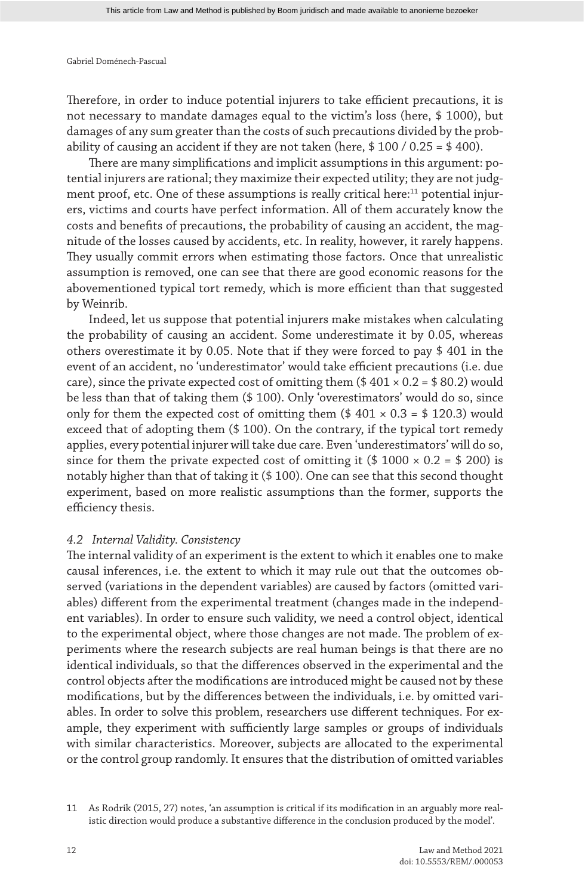Therefore, in order to induce potential injurers to take efficient precautions, it is not necessary to mandate damages equal to the victim's loss (here, \$ 1000), but damages of any sum greater than the costs of such precautions divided by the probability of causing an accident if they are not taken (here,  $$100 / 0.25 = $400$ ).

There are many simplifications and implicit assumptions in this argument: potential injurers are rational; they maximize their expected utility; they are not judgment proof, etc. One of these assumptions is really critical here:<sup>11</sup> potential injurers, victims and courts have perfect information. All of them accurately know the costs and benefits of precautions, the probability of causing an accident, the magnitude of the losses caused by accidents, etc. In reality, however, it rarely happens. They usually commit errors when estimating those factors. Once that unrealistic assumption is removed, one can see that there are good economic reasons for the abovementioned typical tort remedy, which is more efficient than that suggested by Weinrib.

Indeed, let us suppose that potential injurers make mistakes when calculating the probability of causing an accident. Some underestimate it by 0.05, whereas others overestimate it by 0.05. Note that if they were forced to pay \$ 401 in the event of an accident, no 'underestimator' would take efficient precautions (i.e. due care), since the private expected cost of omitting them  $(4.401 \times 0.2 = 4.802)$  would be less than that of taking them (\$ 100). Only 'overestimators' would do so, since only for them the expected cost of omitting them  $(\$401 \times 0.3 = \$120.3)$  would exceed that of adopting them (\$ 100). On the contrary, if the typical tort remedy applies, every potential injurer will take due care. Even 'underestimators' will do so, since for them the private expected cost of omitting it (\$ 1000  $\times$  0.2 = \$ 200) is notably higher than that of taking it (\$ 100). One can see that this second thought experiment, based on more realistic assumptions than the former, supports the efficiency thesis.

#### *4.2 Internal Validity. Consistency*

The internal validity of an experiment is the extent to which it enables one to make causal inferences, i.e. the extent to which it may rule out that the outcomes observed (variations in the dependent variables) are caused by factors (omitted variables) different from the experimental treatment (changes made in the independent variables). In order to ensure such validity, we need a control object, identical to the experimental object, where those changes are not made. The problem of experiments where the research subjects are real human beings is that there are no identical individuals, so that the differences observed in the experimental and the control objects after the modifications are introduced might be caused not by these modifications, but by the differences between the individuals, i.e. by omitted variables. In order to solve this problem, researchers use different techniques. For example, they experiment with sufficiently large samples or groups of individuals with similar characteristics. Moreover, subjects are allocated to the experimental or the control group randomly. It ensures that the distribution of omitted variables

11 As Rodrik (2015, 27) notes, 'an assumption is critical if its modification in an arguably more realistic direction would produce a substantive difference in the conclusion produced by the model'.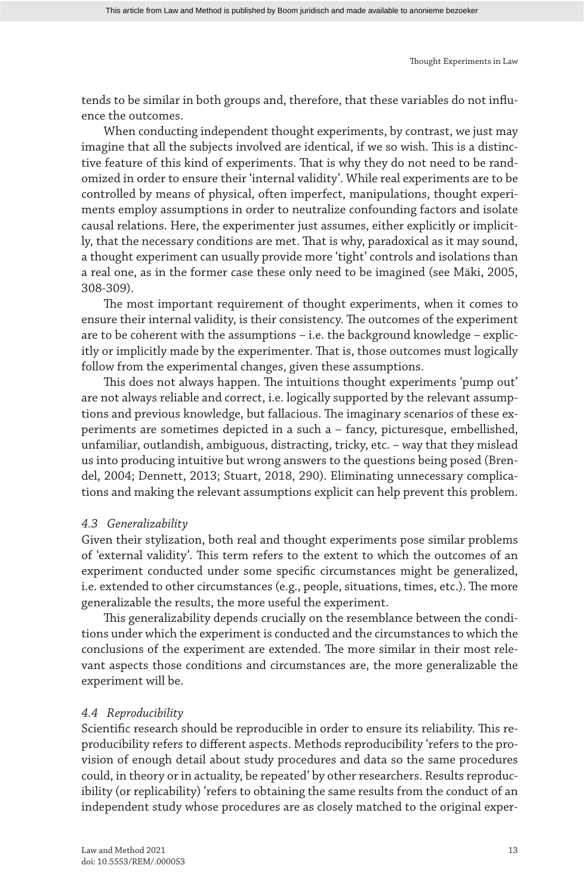tends to be similar in both groups and, therefore, that these variables do not influence the outcomes.

When conducting independent thought experiments, by contrast, we just may imagine that all the subjects involved are identical, if we so wish. This is a distinctive feature of this kind of experiments. That is why they do not need to be randomized in order to ensure their 'internal validity'. While real experiments are to be controlled by means of physical, often imperfect, manipulations, thought experiments employ assumptions in order to neutralize confounding factors and isolate causal relations. Here, the experimenter just assumes, either explicitly or implicitly, that the necessary conditions are met. That is why, paradoxical as it may sound, a thought experiment can usually provide more 'tight' controls and isolations than a real one, as in the former case these only need to be imagined (see Mäki, 2005, 308-309).

The most important requirement of thought experiments, when it comes to ensure their internal validity, is their consistency. The outcomes of the experiment are to be coherent with the assumptions – i.e. the background knowledge – explicitly or implicitly made by the experimenter. That is, those outcomes must logically follow from the experimental changes, given these assumptions.

This does not always happen. The intuitions thought experiments 'pump out' are not always reliable and correct, i.e. logically supported by the relevant assumptions and previous knowledge, but fallacious. The imaginary scenarios of these experiments are sometimes depicted in a such a – fancy, picturesque, embellished, unfamiliar, outlandish, ambiguous, distracting, tricky, etc. – way that they mislead us into producing intuitive but wrong answers to the questions being posed (Brendel, 2004; Dennett, 2013; Stuart, 2018, 290). Eliminating unnecessary complications and making the relevant assumptions explicit can help prevent this problem.

#### *4.3 Generalizability*

Given their stylization, both real and thought experiments pose similar problems of 'external validity'. This term refers to the extent to which the outcomes of an experiment conducted under some specific circumstances might be generalized, i.e. extended to other circumstances (e.g., people, situations, times, etc.). The more generalizable the results, the more useful the experiment.

This generalizability depends crucially on the resemblance between the conditions under which the experiment is conducted and the circumstances to which the conclusions of the experiment are extended. The more similar in their most relevant aspects those conditions and circumstances are, the more generalizable the experiment will be.

#### *4.4 Reproducibility*

Scientific research should be reproducible in order to ensure its reliability. This reproducibility refers to different aspects. Methods reproducibility 'refers to the provision of enough detail about study procedures and data so the same procedures could, in theory or in actuality, be repeated' by other researchers. Results reproducibility (or replicability) 'refers to obtaining the same results from the conduct of an independent study whose procedures are as closely matched to the original exper-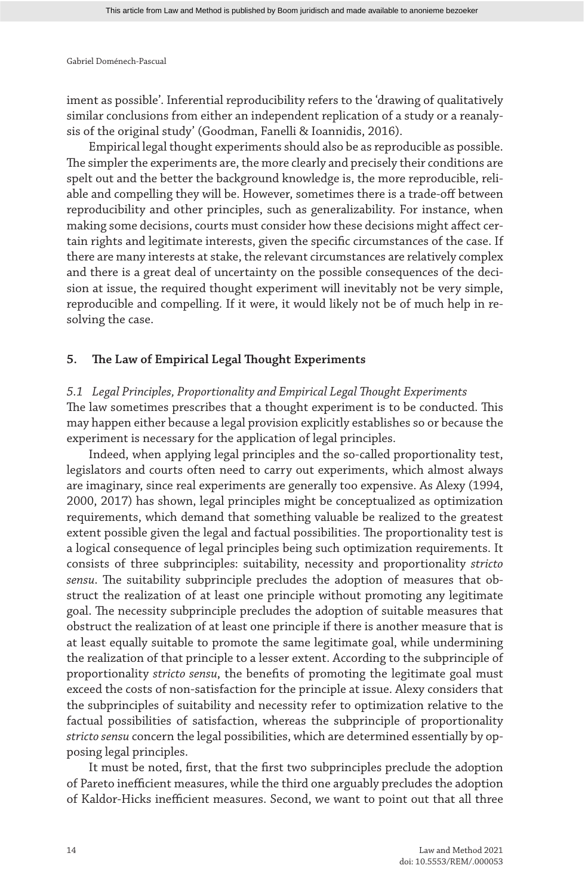iment as possible'. Inferential reproducibility refers to the 'drawing of qualitatively similar conclusions from either an independent replication of a study or a reanalysis of the original study' (Goodman, Fanelli & Ioannidis, 2016).

Empirical legal thought experiments should also be as reproducible as possible. The simpler the experiments are, the more clearly and precisely their conditions are spelt out and the better the background knowledge is, the more reproducible, reliable and compelling they will be. However, sometimes there is a trade-off between reproducibility and other principles, such as generalizability. For instance, when making some decisions, courts must consider how these decisions might affect certain rights and legitimate interests, given the specific circumstances of the case. If there are many interests at stake, the relevant circumstances are relatively complex and there is a great deal of uncertainty on the possible consequences of the decision at issue, the required thought experiment will inevitably not be very simple, reproducible and compelling. If it were, it would likely not be of much help in resolving the case.

#### **5. The Law of Empirical Legal Thought Experiments**

*5.1 Legal Principles, Proportionality and Empirical Legal Thought Experiments* The law sometimes prescribes that a thought experiment is to be conducted. This may happen either because a legal provision explicitly establishes so or because the experiment is necessary for the application of legal principles.

Indeed, when applying legal principles and the so-called proportionality test, legislators and courts often need to carry out experiments, which almost always are imaginary, since real experiments are generally too expensive. As Alexy (1994, 2000, 2017) has shown, legal principles might be conceptualized as optimization requirements, which demand that something valuable be realized to the greatest extent possible given the legal and factual possibilities. The proportionality test is a logical consequence of legal principles being such optimization requirements. It consists of three subprinciples: suitability, necessity and proportionality *stricto sensu*. The suitability subprinciple precludes the adoption of measures that obstruct the realization of at least one principle without promoting any legitimate goal. The necessity subprinciple precludes the adoption of suitable measures that obstruct the realization of at least one principle if there is another measure that is at least equally suitable to promote the same legitimate goal, while undermining the realization of that principle to a lesser extent. According to the subprinciple of proportionality *stricto sensu*, the benefits of promoting the legitimate goal must exceed the costs of non-satisfaction for the principle at issue. Alexy considers that the subprinciples of suitability and necessity refer to optimization relative to the factual possibilities of satisfaction, whereas the subprinciple of proportionality *stricto sensu* concern the legal possibilities, which are determined essentially by opposing legal principles.

It must be noted, first, that the first two subprinciples preclude the adoption of Pareto inefficient measures, while the third one arguably precludes the adoption of Kaldor-Hicks inefficient measures. Second, we want to point out that all three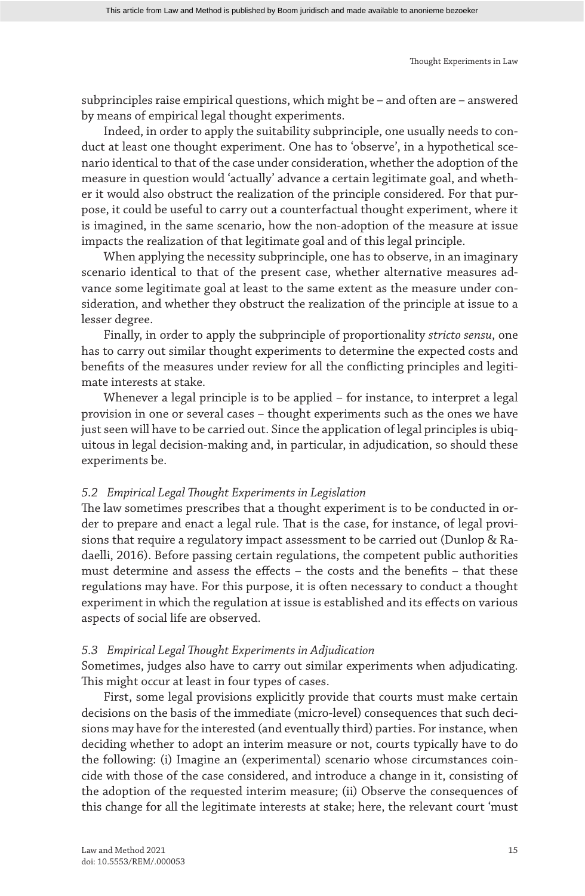subprinciples raise empirical questions, which might be – and often are – answered by means of empirical legal thought experiments.

Indeed, in order to apply the suitability subprinciple, one usually needs to conduct at least one thought experiment. One has to 'observe', in a hypothetical scenario identical to that of the case under consideration, whether the adoption of the measure in question would 'actually' advance a certain legitimate goal, and whether it would also obstruct the realization of the principle considered. For that purpose, it could be useful to carry out a counterfactual thought experiment, where it is imagined, in the same scenario, how the non-adoption of the measure at issue impacts the realization of that legitimate goal and of this legal principle.

When applying the necessity subprinciple, one has to observe, in an imaginary scenario identical to that of the present case, whether alternative measures advance some legitimate goal at least to the same extent as the measure under consideration, and whether they obstruct the realization of the principle at issue to a lesser degree.

Finally, in order to apply the subprinciple of proportionality *stricto sensu*, one has to carry out similar thought experiments to determine the expected costs and benefits of the measures under review for all the conflicting principles and legitimate interests at stake.

Whenever a legal principle is to be applied – for instance, to interpret a legal provision in one or several cases – thought experiments such as the ones we have just seen will have to be carried out. Since the application of legal principles is ubiquitous in legal decision-making and, in particular, in adjudication, so should these experiments be.

#### *5.2 Empirical Legal Thought Experiments in Legislation*

The law sometimes prescribes that a thought experiment is to be conducted in order to prepare and enact a legal rule. That is the case, for instance, of legal provisions that require a regulatory impact assessment to be carried out (Dunlop & Radaelli, 2016). Before passing certain regulations, the competent public authorities must determine and assess the effects – the costs and the benefits – that these regulations may have. For this purpose, it is often necessary to conduct a thought experiment in which the regulation at issue is established and its effects on various aspects of social life are observed.

#### *5.3 Empirical Legal Thought Experiments in Adjudication*

Sometimes, judges also have to carry out similar experiments when adjudicating. This might occur at least in four types of cases.

First, some legal provisions explicitly provide that courts must make certain decisions on the basis of the immediate (micro-level) consequences that such decisions may have for the interested (and eventually third) parties. For instance, when deciding whether to adopt an interim measure or not, courts typically have to do the following: (i) Imagine an (experimental) scenario whose circumstances coincide with those of the case considered, and introduce a change in it, consisting of the adoption of the requested interim measure; (ii) Observe the consequences of this change for all the legitimate interests at stake; here, the relevant court 'must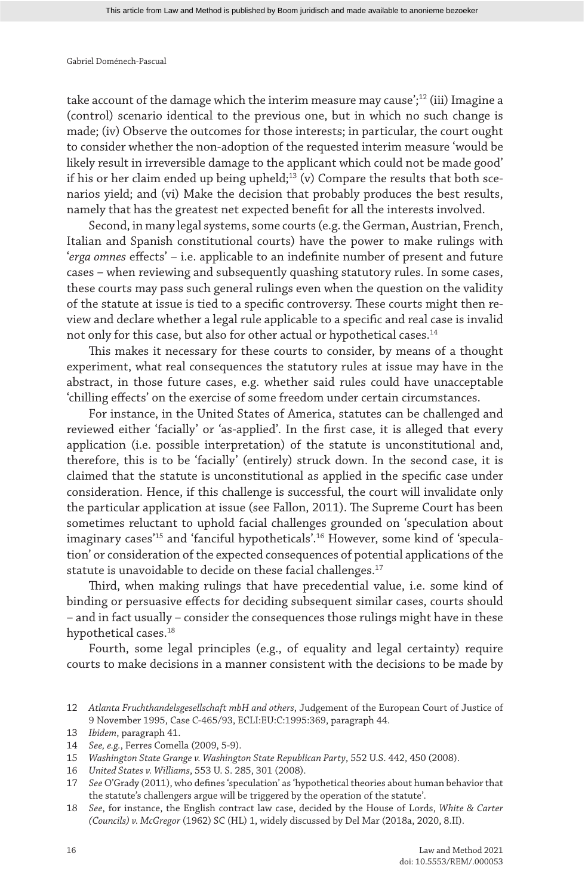take account of the damage which the interim measure may cause';<sup>12</sup> (iii) Imagine a (control) scenario identical to the previous one, but in which no such change is made; (iv) Observe the outcomes for those interests; in particular, the court ought to consider whether the non-adoption of the requested interim measure 'would be likely result in irreversible damage to the applicant which could not be made good' if his or her claim ended up being upheld;<sup>13</sup> (v) Compare the results that both scenarios yield; and (vi) Make the decision that probably produces the best results, namely that has the greatest net expected benefit for all the interests involved.

Second, in many legal systems, some courts (e.g. the German, Austrian, French, Italian and Spanish constitutional courts) have the power to make rulings with '*erga omnes* effects' – i.e. applicable to an indefinite number of present and future cases – when reviewing and subsequently quashing statutory rules. In some cases, these courts may pass such general rulings even when the question on the validity of the statute at issue is tied to a specific controversy. These courts might then review and declare whether a legal rule applicable to a specific and real case is invalid not only for this case, but also for other actual or hypothetical cases.<sup>14</sup>

This makes it necessary for these courts to consider, by means of a thought experiment, what real consequences the statutory rules at issue may have in the abstract, in those future cases, e.g. whether said rules could have unacceptable 'chilling effects' on the exercise of some freedom under certain circumstances.

For instance, in the United States of America, statutes can be challenged and reviewed either 'facially' or 'as-applied'. In the first case, it is alleged that every application (i.e. possible interpretation) of the statute is unconstitutional and, therefore, this is to be 'facially' (entirely) struck down. In the second case, it is claimed that the statute is unconstitutional as applied in the specific case under consideration. Hence, if this challenge is successful, the court will invalidate only the particular application at issue (see Fallon, 2011). The Supreme Court has been sometimes reluctant to uphold facial challenges grounded on 'speculation about imaginary cases'15 and 'fanciful hypotheticals'.16 However, some kind of 'speculation' or consideration of the expected consequences of potential applications of the statute is unavoidable to decide on these facial challenges.<sup>17</sup>

Third, when making rulings that have precedential value, i.e. some kind of binding or persuasive effects for deciding subsequent similar cases, courts should – and in fact usually – consider the consequences those rulings might have in these hypothetical cases.<sup>18</sup>

Fourth, some legal principles (e.g., of equality and legal certainty) require courts to make decisions in a manner consistent with the decisions to be made by

<sup>12</sup> *Atlanta Fruchthandelsgesellschaft mbH and others*, Judgement of the European Court of Justice of 9 November 1995, Case C-465/93, ECLI:EU:C:1995:369, paragraph 44.

<sup>13</sup> *Ibidem*, paragraph 41.

<sup>14</sup> *See, e.g.*, Ferres Comella (2009, 5-9).

<sup>15</sup> *Washington State Grange v. Washington State Republican Party*, 552 U.S. 442, 450 (2008).

<sup>16</sup> *United States v. Williams*, 553 U. S. 285, 301 (2008).

<sup>17</sup> *See* O'Grady (2011), who defines 'speculation' as 'hypothetical theories about human behavior that the statute's challengers argue will be triggered by the operation of the statute'.

<sup>18</sup> *See*, for instance, the English contract law case, decided by the House of Lords, *White & Carter (Councils) v. McGregor* (1962) SC (HL) 1, widely discussed by Del Mar (2018a, 2020, 8.II).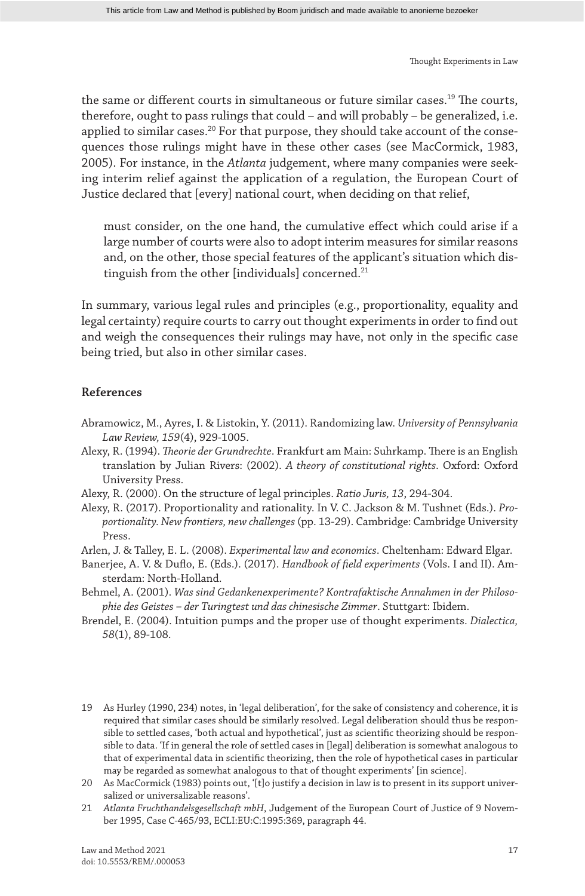the same or different courts in simultaneous or future similar cases.19 The courts, therefore, ought to pass rulings that could – and will probably – be generalized, i.e. applied to similar cases.<sup>20</sup> For that purpose, they should take account of the consequences those rulings might have in these other cases (see MacCormick, 1983, 2005). For instance, in the *Atlanta* judgement, where many companies were seeking interim relief against the application of a regulation, the European Court of Justice declared that [every] national court, when deciding on that relief,

must consider, on the one hand, the cumulative effect which could arise if a large number of courts were also to adopt interim measures for similar reasons and, on the other, those special features of the applicant's situation which distinguish from the other [individuals] concerned.<sup>21</sup>

In summary, various legal rules and principles (e.g., proportionality, equality and legal certainty) require courts to carry out thought experiments in order to find out and weigh the consequences their rulings may have, not only in the specific case being tried, but also in other similar cases.

#### **References**

- Abramowicz, M., Ayres, I. & Listokin, Y. (2011). Randomizing law. *University of Pennsylvania Law Review, 159*(4), 929-1005.
- Alexy, R. (1994). *Theorie der Grundrechte*. Frankfurt am Main: Suhrkamp. There is an English translation by Julian Rivers: (2002). *A theory of constitutional rights*. Oxford: Oxford University Press.
- Alexy, R. (2000). On the structure of legal principles. *Ratio Juris, 13*, 294-304.
- Alexy, R. (2017). Proportionality and rationality. In V. C. Jackson & M. Tushnet (Eds.). *Proportionality. New frontiers, new challenges* (pp. 13-29). Cambridge: Cambridge University Press.
- Arlen, J. & Talley, E. L. (2008). *Experimental law and economics*. Cheltenham: Edward Elgar.
- Banerjee, A. V. & Duflo, E. (Eds.). (2017). *Handbook of field experiments* (Vols. I and II). Amsterdam: North-Holland.
- Behmel, A. (2001). *Was sind Gedankenexperimente? Kontrafaktische Annahmen in der Philosophie des Geistes – der Turingtest und das chinesische Zimmer*. Stuttgart: Ibidem.
- Brendel, E. (2004). Intuition pumps and the proper use of thought experiments. *Dialectica, 58*(1), 89-108.
- 19 As Hurley (1990, 234) notes, in 'legal deliberation', for the sake of consistency and coherence, it is required that similar cases should be similarly resolved. Legal deliberation should thus be responsible to settled cases, 'both actual and hypothetical', just as scientific theorizing should be responsible to data. 'If in general the role of settled cases in [legal] deliberation is somewhat analogous to that of experimental data in scientific theorizing, then the role of hypothetical cases in particular may be regarded as somewhat analogous to that of thought experiments' [in science].

<sup>20</sup> As MacCormick (1983) points out, '[t]o justify a decision in law is to present in its support universalized or universalizable reasons'.

<sup>21</sup> *Atlanta Fruchthandelsgesellschaft mbH*, Judgement of the European Court of Justice of 9 November 1995, Case C-465/93, ECLI:EU:C:1995:369, paragraph 44.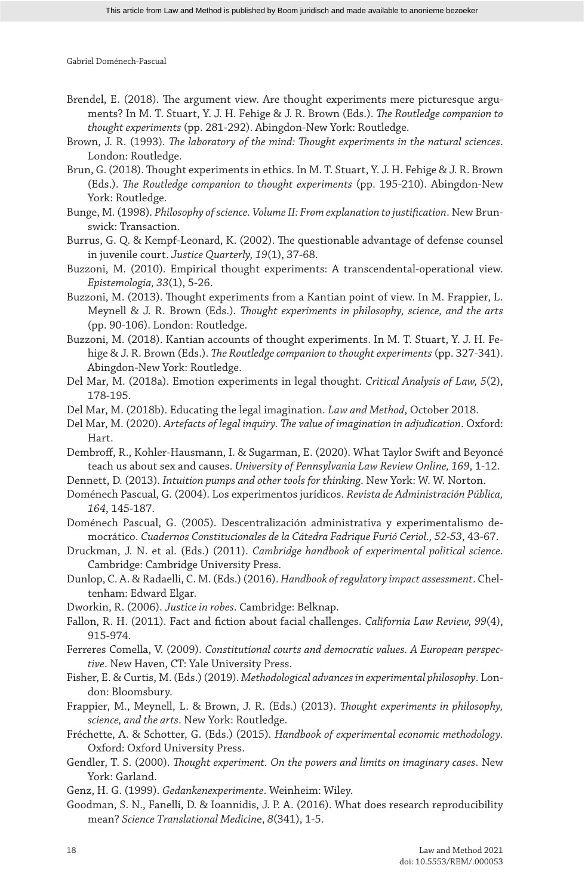- Brendel, E. (2018). The argument view. Are thought experiments mere picturesque arguments? In M. T. Stuart, Y. J. H. Fehige & J. R. Brown (Eds.). *The Routledge companion to thought experiments* (pp. 281-292). Abingdon-New York: Routledge.
- Brown, J. R. (1993). *The laboratory of the mind: Thought experiments in the natural sciences*. London: Routledge.
- Brun, G. (2018). Thought experiments in ethics. In M. T. Stuart, Y. J. H. Fehige & J. R. Brown (Eds.). *The Routledge companion to thought experiments* (pp. 195-210). Abingdon-New York: Routledge.
- Bunge, M. (1998). *Philosophy of science. Volume II: From explanation to justification*. New Brunswick: Transaction.
- Burrus, G. Q. & Kempf-Leonard, K. (2002). The questionable advantage of defense counsel in juvenile court. *Justice Quarterly, 19*(1), 37-68.
- Buzzoni, M. (2010). Empirical thought experiments: A transcendental-operational view. *Epistemologia, 33*(1), 5-26.
- Buzzoni, M. (2013). Thought experiments from a Kantian point of view. In M. Frappier, L. Meynell & J. R. Brown (Eds.). *Thought experiments in philosophy, science, and the arts* (pp. 90-106). London: Routledge.
- Buzzoni, M. (2018). Kantian accounts of thought experiments. In M. T. Stuart, Y. J. H. Fehige & J. R. Brown (Eds.). *The Routledge companion to thought experiments* (pp. 327-341). Abingdon-New York: Routledge.
- Del Mar, M. (2018a). Emotion experiments in legal thought. *Critical Analysis of Law, 5*(2), 178-195.
- Del Mar, M. (2018b). Educating the legal imagination. *Law and Method*, October 2018.
- Del Mar, M. (2020). *Artefacts of legal inquiry. The value of imagination in adjudication*. Oxford: Hart.
- Dembroff, R., Kohler-Hausmann, I. & Sugarman, E. (2020). What Taylor Swift and Beyoncé teach us about sex and causes. *University of Pennsylvania Law Review Online, 169*, 1-12.
- Dennett, D. (2013). *Intuition pumps and other tools for thinking*. New York: W. W. Norton.
- Doménech Pascual, G. (2004). Los experimentos jurídicos. *Revista de Administración Pública, 164*, 145-187.
- Doménech Pascual, G. (2005). Descentralización administrativa y experimentalismo democrático. *Cuadernos Constitucionales de la Cátedra Fadrique Furió Ceriol., 52-53*, 43-67.
- Druckman, J. N. et al. (Eds.) (2011). *Cambridge handbook of experimental political science*. Cambridge: Cambridge University Press.
- Dunlop, C. A. & Radaelli, C. M. (Eds.) (2016). *Handbook of regulatory impact assessment*. Cheltenham: Edward Elgar.
- Dworkin, R. (2006). *Justice in robes*. Cambridge: Belknap.
- Fallon, R. H. (2011). Fact and fiction about facial challenges. *California Law Review, 99*(4), 915-974.
- Ferreres Comella, V. (2009). *Constitutional courts and democratic values. A European perspective*. New Haven, CT: Yale University Press.
- Fisher, E. & Curtis, M. (Eds.) (2019). *Methodological advances in experimental philosophy*. London: Bloomsbury.
- Frappier, M., Meynell, L. & Brown, J. R. (Eds.) (2013). *Thought experiments in philosophy, science, and the arts*. New York: Routledge.
- Fréchette, A. & Schotter, G. (Eds.) (2015). *Handbook of experimental economic methodology.* Oxford: Oxford University Press.
- Gendler, T. S. (2000). *Thought experiment. On the powers and limits on imaginary cases*. New York: Garland.
- Genz, H. G. (1999). *Gedankenexperimente*. Weinheim: Wiley.
- Goodman, S. N., Fanelli, D. & Ioannidis, J. P. A. (2016). What does research reproducibility mean? *Science Translational Medicin*e, *8*(341), 1-5.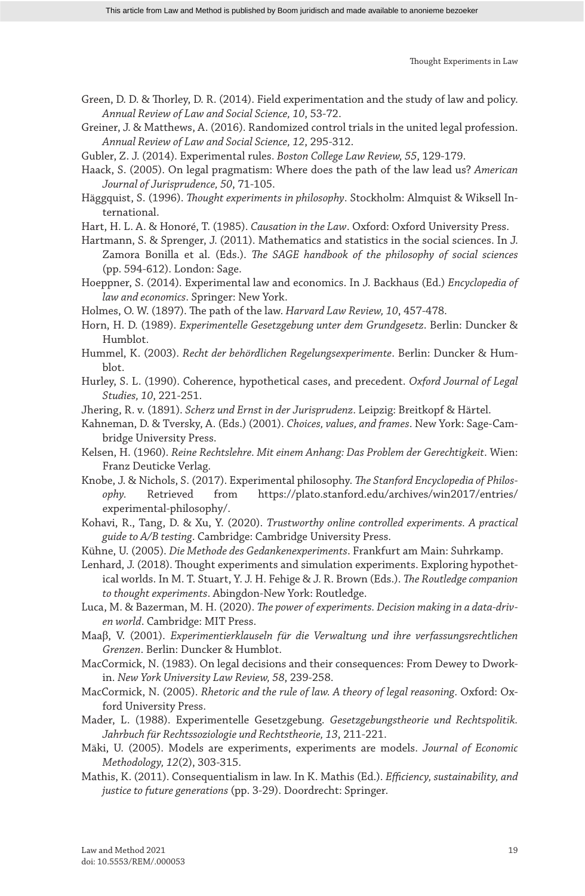- Green, D. D. & Thorley, D. R. (2014). Field experimentation and the study of law and policy. *Annual Review of Law and Social Science, 10*, 53-72.
- Greiner, J. & Matthews, A. (2016). Randomized control trials in the united legal profession. *Annual Review of Law and Social Science, 12*, 295-312.
- Gubler, Z. J. (2014). Experimental rules. *Boston College Law Review, 55*, 129-179.
- Haack, S. (2005). On legal pragmatism: Where does the path of the law lead us? *American Journal of Jurisprudence, 50*, 71-105.
- Häggquist, S. (1996). *Thought experiments in philosophy*. Stockholm: Almquist & Wiksell International.
- Hart, H. L. A. & Honoré, T. (1985). *Causation in the Law*. Oxford: Oxford University Press.
- Hartmann, S. & Sprenger, J. (2011). Mathematics and statistics in the social sciences. In J. Zamora Bonilla et al. (Eds.). *The SAGE handbook of the philosophy of social sciences* (pp. 594-612). London: Sage.
- Hoeppner, S. (2014). Experimental law and economics. In J. Backhaus (Ed.) *Encyclopedia of law and economics*. Springer: New York.
- Holmes, O. W. (1897). The path of the law. *Harvard Law Review, 10*, 457-478.
- Horn, H. D. (1989). *Experimentelle Gesetzgebung unter dem Grundgesetz*. Berlin: Duncker & Humblot.
- Hummel, K. (2003). *Recht der behördlichen Regelungsexperimente*. Berlin: Duncker & Humblot.
- Hurley, S. L. (1990). Coherence, hypothetical cases, and precedent. *Oxford Journal of Legal Studies, 10*, 221-251.
- Jhering, R. v. (1891). *Scherz und Ernst in der Jurisprudenz*. Leipzig: Breitkopf & Härtel.
- Kahneman, D. & Tversky, A. (Eds.) (2001). *Choices, values, and frames*. New York: Sage-Cambridge University Press.
- Kelsen, H. (1960). *Reine Rechtslehre. Mit einem Anhang: Das Problem der Gerechtigkeit*. Wien: Franz Deuticke Verlag.
- Knobe, J. & Nichols, S. (2017). Experimental philosophy. *The Stanford Encyclopedia of Philosophy.* Retrieved from https://plato.stanford.edu/archives/win2017/entries/ experimental-philosophy/.
- Kohavi, R., Tang, D. & Xu, Y. (2020). *Trustworthy online controlled experiments. A practical guide to A/B testing*. Cambridge: Cambridge University Press.
- Kühne, U. (2005). *Die Methode des Gedankenexperiments*. Frankfurt am Main: Suhrkamp.
- Lenhard, J. (2018). Thought experiments and simulation experiments. Exploring hypothetical worlds. In M. T. Stuart, Y. J. H. Fehige & J. R. Brown (Eds.). *The Routledge companion to thought experiments*. Abingdon-New York: Routledge.
- Luca, M. & Bazerman, M. H. (2020). *The power of experiments. Decision making in a data-driven world*. Cambridge: MIT Press.
- Maaβ, V. (2001). *Experimentierklauseln für die Verwaltung und ihre verfassungsrechtlichen Grenzen*. Berlin: Duncker & Humblot.
- MacCormick, N. (1983). On legal decisions and their consequences: From Dewey to Dworkin. *New York University Law Review, 58*, 239-258.
- MacCormick, N. (2005). *Rhetoric and the rule of law. A theory of legal reasoning*. Oxford: Oxford University Press.
- Mader, L. (1988). Experimentelle Gesetzgebung. *Gesetzgebungstheorie und Rechtspolitik. Jahrbuch für Rechtssoziologie und Rechtstheorie, 13*, 211-221.
- Mäki, U. (2005). Models are experiments, experiments are models. *Journal of Economic Methodology, 12*(2), 303-315.
- Mathis, K. (2011). Consequentialism in law. In K. Mathis (Ed.). *Efficiency, sustainability, and justice to future generations* (pp. 3-29). Doordrecht: Springer.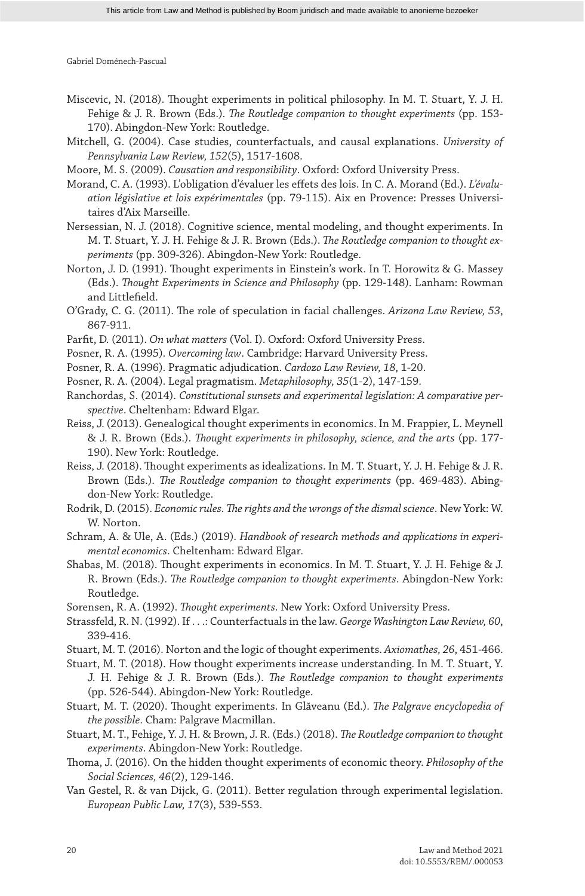- Miscevic, N. (2018). Thought experiments in political philosophy. In M. T. Stuart, Y. J. H. Fehige & J. R. Brown (Eds.). *The Routledge companion to thought experiments* (pp. 153- 170). Abingdon-New York: Routledge.
- Mitchell, G. (2004). Case studies, counterfactuals, and causal explanations. *University of Pennsylvania Law Review, 152*(5), 1517-1608.
- Moore, M. S. (2009). *Causation and responsibility*. Oxford: Oxford University Press.
- Morand, C. A. (1993). L'obligation d'évaluer les effets des lois. In C. A. Morand (Ed.). *L'évaluation législative et lois expérimentales* (pp. 79-115). Aix en Provence: Presses Universitaires d'Aix Marseille.
- Nersessian, N. J. (2018). Cognitive science, mental modeling, and thought experiments. In M. T. Stuart, Y. J. H. Fehige & J. R. Brown (Eds.). *The Routledge companion to thought experiments* (pp. 309-326). Abingdon-New York: Routledge.
- Norton, J. D. (1991). Thought experiments in Einstein's work. In T. Horowitz & G. Massey (Eds.). *Thought Experiments in Science and Philosophy* (pp. 129-148). Lanham: Rowman and Littlefield.
- O'Grady, C. G. (2011). The role of speculation in facial challenges. *Arizona Law Review, 53*, 867-911.
- Parfit, D. (2011). *On what matters* (Vol. I). Oxford: Oxford University Press.
- Posner, R. A. (1995). *Overcoming law*. Cambridge: Harvard University Press.
- Posner, R. A. (1996). Pragmatic adjudication. *Cardozo Law Review, 18*, 1-20.
- Posner, R. A. (2004). Legal pragmatism. *Metaphilosophy, 35*(1-2), 147-159.
- Ranchordas, S. (2014). *Constitutional sunsets and experimental legislation: A comparative perspective*. Cheltenham: Edward Elgar.
- Reiss, J. (2013). Genealogical thought experiments in economics. In M. Frappier, L. Meynell & J. R. Brown (Eds.). *Thought experiments in philosophy, science, and the arts* (pp. 177- 190). New York: Routledge.
- Reiss, J. (2018). Thought experiments as idealizations. In M. T. Stuart, Y. J. H. Fehige & J. R. Brown (Eds.). *The Routledge companion to thought experiments* (pp. 469-483). Abingdon-New York: Routledge.
- Rodrik, D. (2015). *Economic rules. The rights and the wrongs of the dismal science*. New York: W. W. Norton.
- Schram, A. & Ule, A. (Eds.) (2019). *Handbook of research methods and applications in experimental economics*. Cheltenham: Edward Elgar.
- Shabas, M. (2018). Thought experiments in economics. In M. T. Stuart, Y. J. H. Fehige & J. R. Brown (Eds.). *The Routledge companion to thought experiments*. Abingdon-New York: Routledge.
- Sorensen, R. A. (1992). *Thought experiments*. New York: Oxford University Press.
- Strassfeld, R. N. (1992). If . . .: Counterfactuals in the law. *George Washington Law Review, 60*, 339-416.
- Stuart, M. T. (2016). Norton and the logic of thought experiments. *Axiomathes, 26*, 451-466.
- Stuart, M. T. (2018). How thought experiments increase understanding. In M. T. Stuart, Y. J. H. Fehige & J. R. Brown (Eds.). *The Routledge companion to thought experiments* (pp. 526-544). Abingdon-New York: Routledge.
- Stuart, M. T. (2020). Thought experiments. In Glăveanu (Ed.). *The Palgrave encyclopedia of the possible*. Cham: Palgrave Macmillan.
- Stuart, M. T., Fehige, Y. J. H. & Brown, J. R. (Eds.) (2018). *The Routledge companion to thought experiments*. Abingdon-New York: Routledge.
- Thoma, J. (2016). On the hidden thought experiments of economic theory. *Philosophy of the Social Sciences, 46*(2), 129-146.
- Van Gestel, R. & van Dijck, G. (2011). Better regulation through experimental legislation. *European Public Law, 17*(3), 539-553.